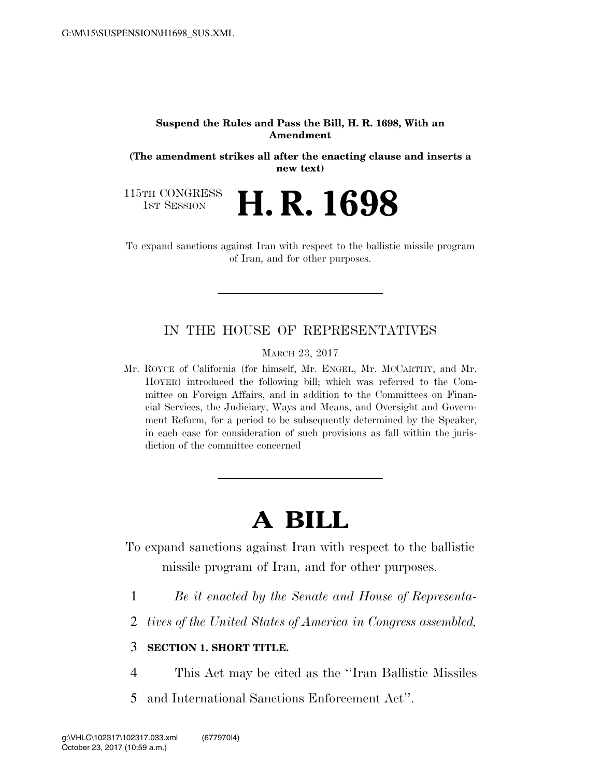#### **Suspend the Rules and Pass the Bill, H. R. 1698, With an Amendment**

**(The amendment strikes all after the enacting clause and inserts a new text)** 

115TH CONGRESS<br>1st Session

H. R. 1698

To expand sanctions against Iran with respect to the ballistic missile program of Iran, and for other purposes.

# IN THE HOUSE OF REPRESENTATIVES

MARCH 23, 2017

Mr. ROYCE of California (for himself, Mr. ENGEL, Mr. MCCARTHY, and Mr. HOYER) introduced the following bill; which was referred to the Committee on Foreign Affairs, and in addition to the Committees on Financial Services, the Judiciary, Ways and Means, and Oversight and Government Reform, for a period to be subsequently determined by the Speaker, in each case for consideration of such provisions as fall within the jurisdiction of the committee concerned

# **A BILL**

To expand sanctions against Iran with respect to the ballistic missile program of Iran, and for other purposes.

- 1 *Be it enacted by the Senate and House of Representa-*
- 2 *tives of the United States of America in Congress assembled,*

## 3 **SECTION 1. SHORT TITLE.**

- 4 This Act may be cited as the ''Iran Ballistic Missiles
- 5 and International Sanctions Enforcement Act''.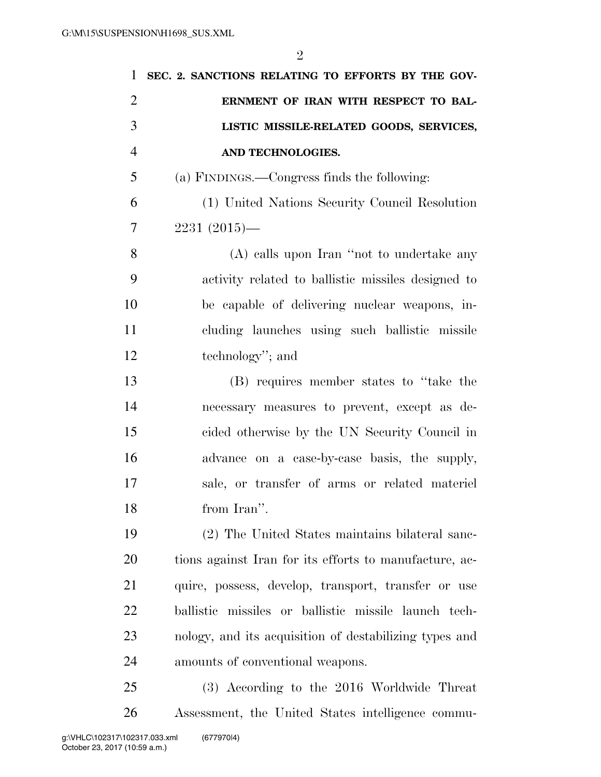| 1              | SEC. 2. SANCTIONS RELATING TO EFFORTS BY THE GOV-      |
|----------------|--------------------------------------------------------|
| $\overline{2}$ | ERNMENT OF IRAN WITH RESPECT TO BAL-                   |
| 3              | LISTIC MISSILE-RELATED GOODS, SERVICES,                |
| $\overline{4}$ | AND TECHNOLOGIES.                                      |
| 5              | (a) FINDINGS.—Congress finds the following:            |
| 6              | (1) United Nations Security Council Resolution         |
| 7              | $2231(2015)$ —                                         |
| 8              | (A) calls upon Iran "not to undertake any              |
| 9              | activity related to ballistic missiles designed to     |
| 10             | be capable of delivering nuclear weapons, in-          |
| 11             | cluding launches using such ballistic missile          |
| 12             | technology"; and                                       |
| 13             | (B) requires member states to "take the                |
| 14             | necessary measures to prevent, except as de-           |
| 15             | cided otherwise by the UN Security Council in          |
| 16             | advance on a case-by-case basis, the supply,           |
| 17             | sale, or transfer of arms or related materiel          |
| 18             | from Iran".                                            |
| 19             | (2) The United States maintains bilateral sanc-        |
| 20             | tions against Iran for its efforts to manufacture, ac- |
| 21             | quire, possess, develop, transport, transfer or use    |
| 22             | ballistic missiles or ballistic missile launch tech-   |
| 23             | nology, and its acquisition of destabilizing types and |
| 24             | amounts of conventional weapons.                       |
| 25             | (3) According to the 2016 Worldwide Threat             |
| 26             | Assessment, the United States intelligence commu-      |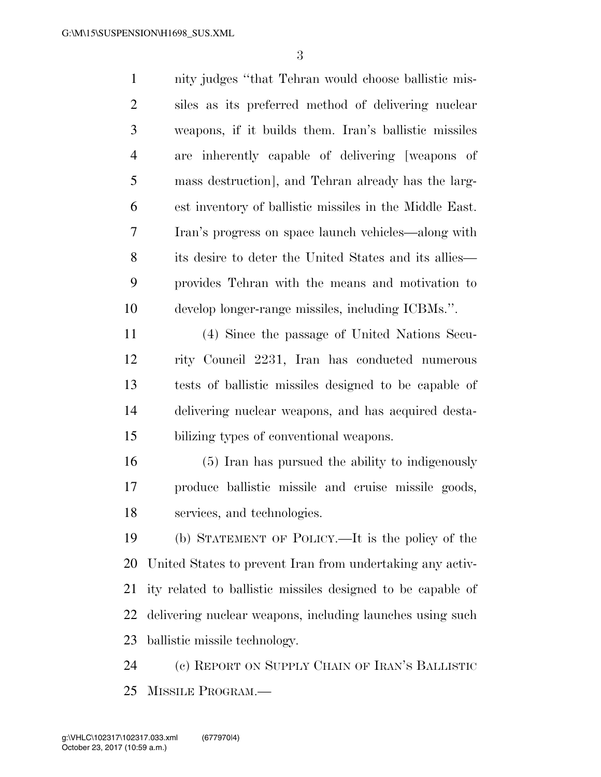nity judges ''that Tehran would choose ballistic mis- siles as its preferred method of delivering nuclear weapons, if it builds them. Iran's ballistic missiles are inherently capable of delivering [weapons of mass destruction], and Tehran already has the larg- est inventory of ballistic missiles in the Middle East. Iran's progress on space launch vehicles—along with its desire to deter the United States and its allies— provides Tehran with the means and motivation to develop longer-range missiles, including ICBMs.''. (4) Since the passage of United Nations Secu- rity Council 2231, Iran has conducted numerous tests of ballistic missiles designed to be capable of delivering nuclear weapons, and has acquired desta- bilizing types of conventional weapons. (5) Iran has pursued the ability to indigenously produce ballistic missile and cruise missile goods, services, and technologies. (b) STATEMENT OF POLICY.—It is the policy of the United States to prevent Iran from undertaking any activ- ity related to ballistic missiles designed to be capable of delivering nuclear weapons, including launches using such ballistic missile technology.

 (c) REPORT ON SUPPLY CHAIN OF IRAN'S BALLISTIC MISSILE PROGRAM.—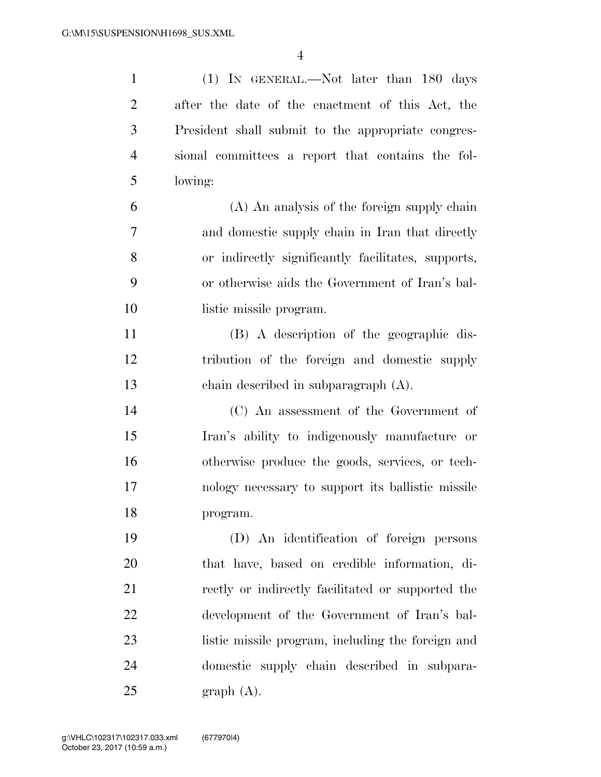(1) IN GENERAL.—Not later than 180 days after the date of the enactment of this Act, the President shall submit to the appropriate congres- sional committees a report that contains the fol- lowing: (A) An analysis of the foreign supply chain and domestic supply chain in Iran that directly or indirectly significantly facilitates, supports, or otherwise aids the Government of Iran's bal- listic missile program. (B) A description of the geographic dis- tribution of the foreign and domestic supply chain described in subparagraph (A). (C) An assessment of the Government of Iran's ability to indigenously manufacture or otherwise produce the goods, services, or tech- nology necessary to support its ballistic missile program. (D) An identification of foreign persons that have, based on credible information, di- rectly or indirectly facilitated or supported the development of the Government of Iran's bal-listic missile program, including the foreign and

domestic supply chain described in subpara-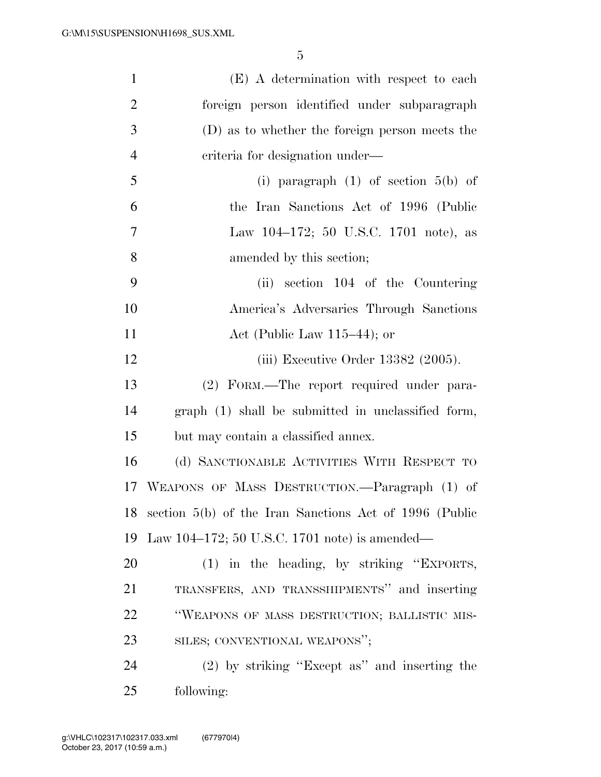| $\mathbf{1}$   | (E) A determination with respect to each                  |
|----------------|-----------------------------------------------------------|
| $\overline{2}$ | foreign person identified under subparagraph              |
| 3              | (D) as to whether the foreign person meets the            |
| $\overline{4}$ | criteria for designation under—                           |
| 5              | (i) paragraph $(1)$ of section $5(b)$ of                  |
| 6              | the Iran Sanctions Act of 1996 (Public                    |
| 7              | Law 104–172; 50 U.S.C. 1701 note), as                     |
| 8              | amended by this section;                                  |
| 9              | (ii) section 104 of the Countering                        |
| 10             | America's Adversaries Through Sanctions                   |
| 11             | Act (Public Law $115-44$ ); or                            |
| 12             | (iii) Executive Order $13382$ (2005).                     |
| 13             | (2) FORM.—The report required under para-                 |
| 14             | graph (1) shall be submitted in unclassified form,        |
| 15             | but may contain a classified annex.                       |
| 16             | (d) SANCTIONABLE ACTIVITIES WITH RESPECT TO               |
| 17             | WEAPONS OF MASS DESTRUCTION. - Paragraph (1) of           |
|                | 18 section 5(b) of the Iran Sanctions Act of 1996 (Public |
| 19             | Law 104–172; 50 U.S.C. 1701 note) is amended—             |
| 20             | $(1)$ in the heading, by striking "EXPORTS,               |
| 21             | TRANSFERS, AND TRANSSHIPMENTS" and inserting              |
| 22             | "WEAPONS OF MASS DESTRUCTION; BALLISTIC MIS-              |
| 23             | SILES; CONVENTIONAL WEAPONS";                             |
| 24             | $(2)$ by striking "Except as" and inserting the           |
| 25             | following:                                                |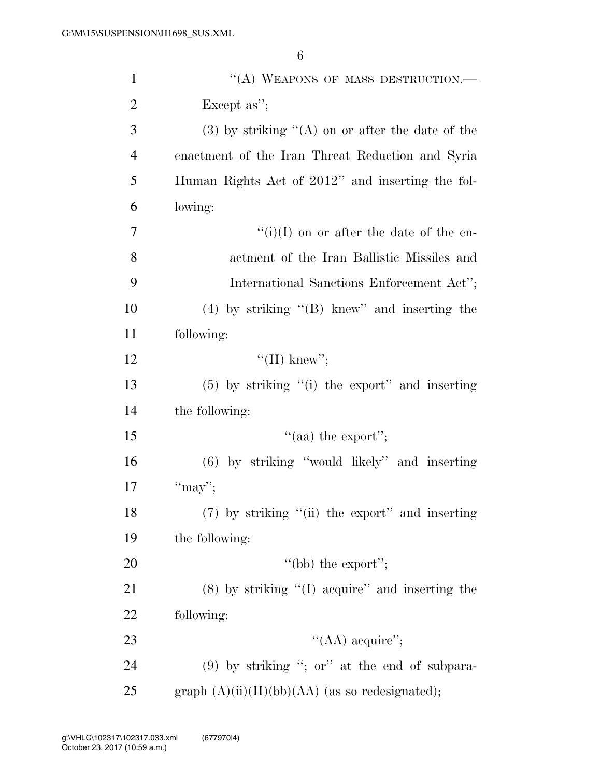| $\mathbf{1}$   | "(A) WEAPONS OF MASS DESTRUCTION.—                    |
|----------------|-------------------------------------------------------|
| $\overline{2}$ | Except as";                                           |
| 3              | $(3)$ by striking " $(A)$ on or after the date of the |
| $\overline{4}$ | enactment of the Iran Threat Reduction and Syria      |
| 5              | Human Rights Act of 2012" and inserting the fol-      |
| 6              | lowing:                                               |
| 7              | $\lq\lq(i)(I)$ on or after the date of the en-        |
| 8              | actment of the Iran Ballistic Missiles and            |
| 9              | International Sanctions Enforcement Act";             |
| 10             | $(4)$ by striking " $(B)$ knew" and inserting the     |
| 11             | following:                                            |
| 12             | "(II) knew";                                          |
| 13             | $(5)$ by striking " $(i)$ the export" and inserting   |
| 14             | the following:                                        |
| 15             | "(aa) the export";                                    |
| 16             | $(6)$ by striking "would likely" and inserting        |
| 17             | "may";                                                |
| 18             | $(7)$ by striking "(ii) the export" and inserting     |
| 19             | the following:                                        |
| 20             | "(bb) the export";                                    |
| 21             | $(8)$ by striking " $(I)$ acquire" and inserting the  |
| 22             | following:                                            |
| 23             | "(AA) acquire";                                       |
| 24             | $(9)$ by striking "; or" at the end of subpara-       |
| 25             | graph $(A)(ii)(II)(bb)(AA)$ (as so redesignated);     |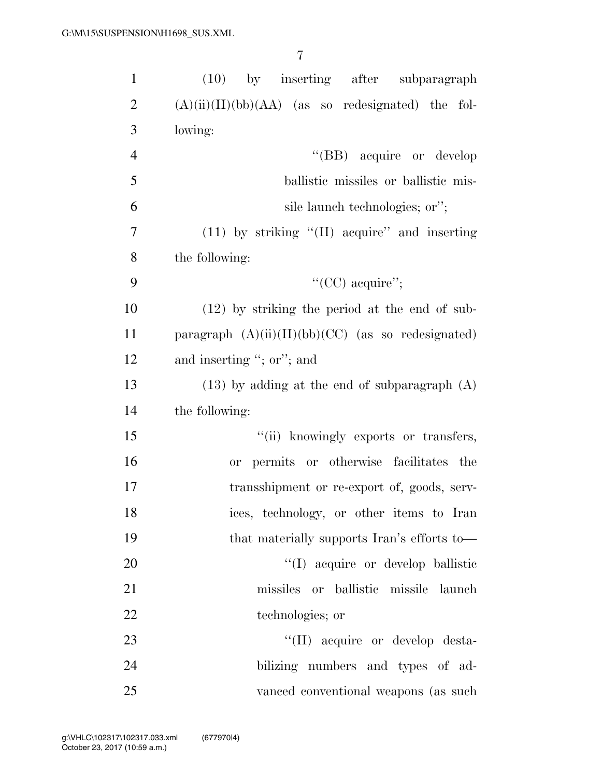| $\mathbf{1}$   | $(10)$ by inserting after subparagraph               |
|----------------|------------------------------------------------------|
| $\overline{2}$ | $(A)(ii)(II)(bb)(AA)$ (as so redesignated) the fol-  |
| 3              | lowing:                                              |
| $\overline{4}$ | "(BB) acquire or develop                             |
| 5              | ballistic missiles or ballistic mis-                 |
| 6              | sile launch technologies; or";                       |
| 7              | $(11)$ by striking " $(II)$ acquire" and inserting   |
| 8              | the following:                                       |
| 9              | "(CC) acquire";                                      |
| 10             | $(12)$ by striking the period at the end of sub-     |
| 11             | paragraph $(A)(ii)(II)(bb)(CC)$ (as so redesignated) |
| 12             | and inserting "; or"; and                            |
| 13             | $(13)$ by adding at the end of subparagraph $(A)$    |
| 14             | the following:                                       |
| 15             | "(ii) knowingly exports or transfers,                |
| 16             | permits or otherwise facilitates the<br><b>or</b>    |
| 17             | transshipment or re-export of, goods, serv-          |
| 18             | ices, technology, or other items to Iran             |
| 19             | that materially supports Iran's efforts to—          |
| 20             | "(I) acquire or develop ballistic                    |
| 21             | missiles or ballistic missile launch                 |
| 22             | technologies; or                                     |
| 23             | "(II) acquire or develop desta-                      |
| 24             | bilizing numbers and types of ad-                    |
| 25             | vanced conventional weapons (as such                 |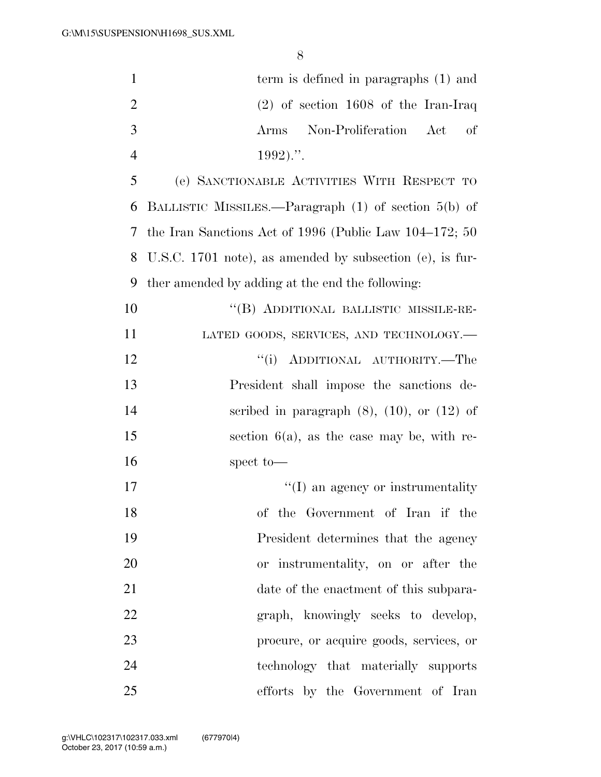| $\mathbf{1}$   | term is defined in paragraphs (1) and                     |
|----------------|-----------------------------------------------------------|
| $\overline{2}$ | $(2)$ of section 1608 of the Iran-Iraq                    |
| 3              | Non-Proliferation Act<br>of<br>Arms                       |
| $\overline{4}$ | $1992)$ .".                                               |
| 5              | (e) SANCTIONABLE ACTIVITIES WITH RESPECT TO               |
| 6              | BALLISTIC MISSILES.—Paragraph (1) of section 5(b) of      |
| 7              | the Iran Sanctions Act of 1996 (Public Law $104-172$ ; 50 |
| 8              | U.S.C. 1701 note), as amended by subsection (e), is fur-  |
| 9              | ther amended by adding at the end the following:          |
| 10             | "(B) ADDITIONAL BALLISTIC MISSILE-RE-                     |
| 11             | LATED GOODS, SERVICES, AND TECHNOLOGY.-                   |
| 12             | "(i) ADDITIONAL AUTHORITY.—The                            |
| 13             | President shall impose the sanctions de-                  |
| 14             | scribed in paragraph $(8)$ , $(10)$ , or $(12)$ of        |
| 15             | section $6(a)$ , as the case may be, with re-             |
| 16             | spect to-                                                 |
| 17             | "(I) an agency or instrumentality                         |
| 18             | of the Government of Iran if the                          |
| 19             | President determines that the agency                      |
| 20             | or instrumentality, on or after the                       |
| 21             | date of the enactment of this subpara-                    |
| 22             | graph, knowingly seeks to develop,                        |
| 23             | procure, or acquire goods, services, or                   |
| 24             | technology that materially supports                       |
| 25             | efforts by the Government of Iran                         |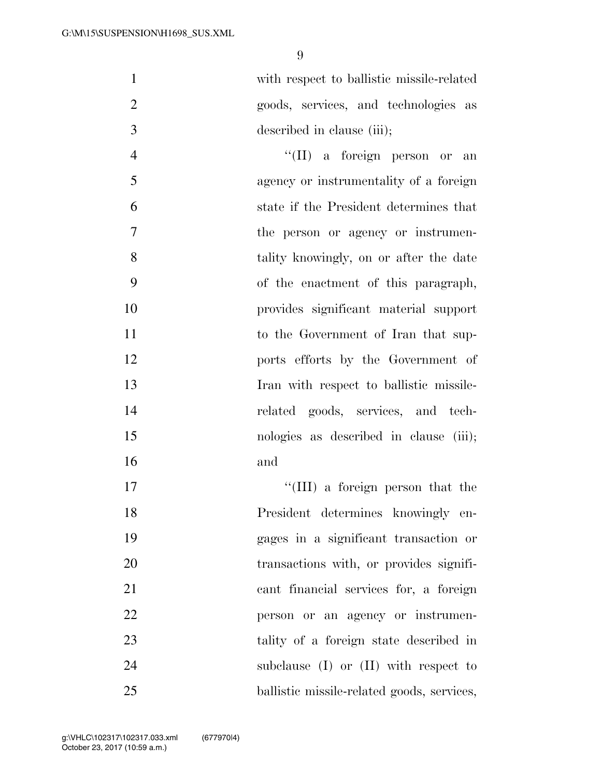with respect to ballistic missile-related goods, services, and technologies as described in clause (iii);

4 ''(II) a foreign person or an agency or instrumentality of a foreign state if the President determines that the person or agency or instrumen- tality knowingly, on or after the date of the enactment of this paragraph, provides significant material support 11 to the Government of Iran that sup- ports efforts by the Government of Iran with respect to ballistic missile- related goods, services, and tech- nologies as described in clause (iii); and

 $\text{``(III)}$  a foreign person that the President determines knowingly en- gages in a significant transaction or 20 transactions with, or provides signifi- cant financial services for, a foreign person or an agency or instrumen- tality of a foreign state described in 24 subclause (I) or (II) with respect to ballistic missile-related goods, services,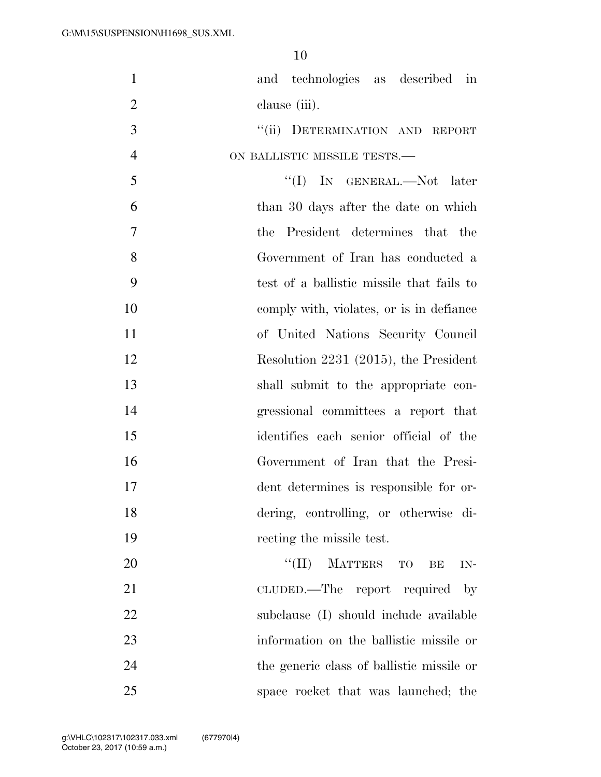| $\mathbf{1}$   | and technologies as described in          |
|----------------|-------------------------------------------|
| $\overline{2}$ | clause (iii).                             |
| $\mathfrak{Z}$ | "(ii) DETERMINATION AND REPORT            |
| $\overline{4}$ | ON BALLISTIC MISSILE TESTS.-              |
| 5              | "(I) IN GENERAL.—Not later                |
| 6              | than 30 days after the date on which      |
| 7              | the President determines that the         |
| 8              | Government of Iran has conducted a        |
| 9              | test of a ballistic missile that fails to |
| 10             | comply with, violates, or is in defiance  |
| 11             | of United Nations Security Council        |
| 12             | Resolution 2231 (2015), the President     |
| 13             | shall submit to the appropriate con-      |
| 14             | gressional committees a report that       |
| 15             | identifies each senior official of the    |
| 16             | Government of Iran that the Presi-        |
| 17             | dent determines is responsible for or-    |
| 18             | dering, controlling, or otherwise di-     |
| 19             | recting the missile test.                 |
| 20             | $``(II)$ MATTERS TO<br>BE<br>IN-          |
| 21             | CLUDED.—The report required<br>$-$ by     |
| 22             | subclause (I) should include available    |
| 23             | information on the ballistic missile or   |
| 24             | the generic class of ballistic missile or |
| 25             | space rocket that was launched; the       |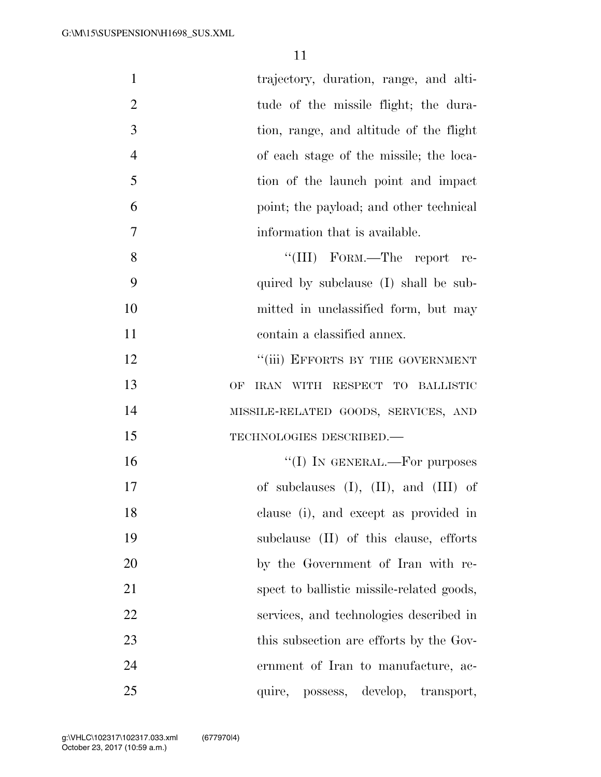| $\mathbf{1}$   | trajectory, duration, range, and alti-        |
|----------------|-----------------------------------------------|
| $\overline{2}$ | tude of the missile flight; the dura-         |
| 3              | tion, range, and altitude of the flight       |
| $\overline{4}$ | of each stage of the missile; the loca-       |
| 5              | tion of the launch point and impact           |
| 6              | point; the payload; and other technical       |
| $\tau$         | information that is available.                |
| 8              | "(III) FORM.—The report re-                   |
| 9              | quired by subclause (I) shall be sub-         |
| 10             | mitted in unclassified form, but may          |
| 11             | contain a classified annex.                   |
| 12             | "(iii) EFFORTS BY THE GOVERNMENT              |
| 13             | IRAN WITH RESPECT TO BALLISTIC<br>OF          |
| 14             | MISSILE-RELATED GOODS, SERVICES, AND          |
| 15             | TECHNOLOGIES DESCRIBED.-                      |
| 16             | "(I) IN GENERAL.—For purposes                 |
| 17             | of subclauses $(I)$ , $(II)$ , and $(III)$ of |
| 18             | clause (i), and except as provided in         |
| 19             | subclause (II) of this clause, efforts        |
| 20             | by the Government of Iran with re-            |
| 21             | spect to ballistic missile-related goods,     |
| 22             | services, and technologies described in       |
| 23             | this subsection are efforts by the Gov-       |
| 24             | ernment of Iran to manufacture, ac-           |
| 25             | quire, possess, develop, transport,           |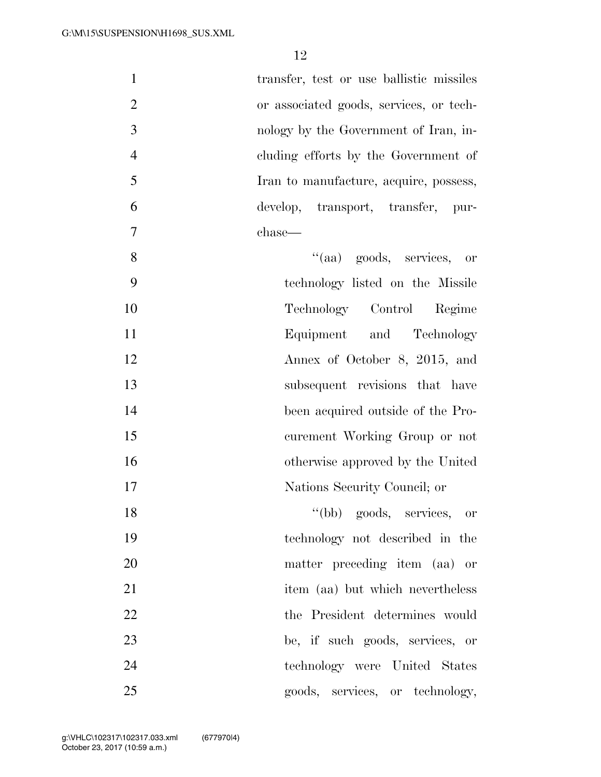| $\mathbf{1}$   | transfer, test or use ballistic missiles |
|----------------|------------------------------------------|
| $\overline{2}$ | or associated goods, services, or tech-  |
| 3              | nology by the Government of Iran, in-    |
| $\overline{4}$ | cluding efforts by the Government of     |
| 5              | Iran to manufacture, acquire, possess,   |
| 6              | develop, transport, transfer, pur-       |
| $\tau$         | chase—                                   |
| 8              | "(aa) goods, services, or                |
| 9              | technology listed on the Missile         |
| 10             | Technology Control<br>Regime             |
| 11             | Equipment and Technology                 |
| 12             | Annex of October 8, 2015, and            |
| 13             | subsequent revisions that have           |
| 14             | been acquired outside of the Pro-        |
| 15             | curement Working Group or not            |
| 16             | otherwise approved by the United         |
| 17             | Nations Security Council; or             |
| 18             | "(bb) goods, services, or                |
| 19             | technology not described in the          |
| 20             | matter preceding item (aa) or            |
| 21             | item (aa) but which nevertheless         |
| 22             | the President determines would           |
| 23             | be, if such goods, services, or          |
| 24             | technology were United States            |
| 25             | goods, services, or technology,          |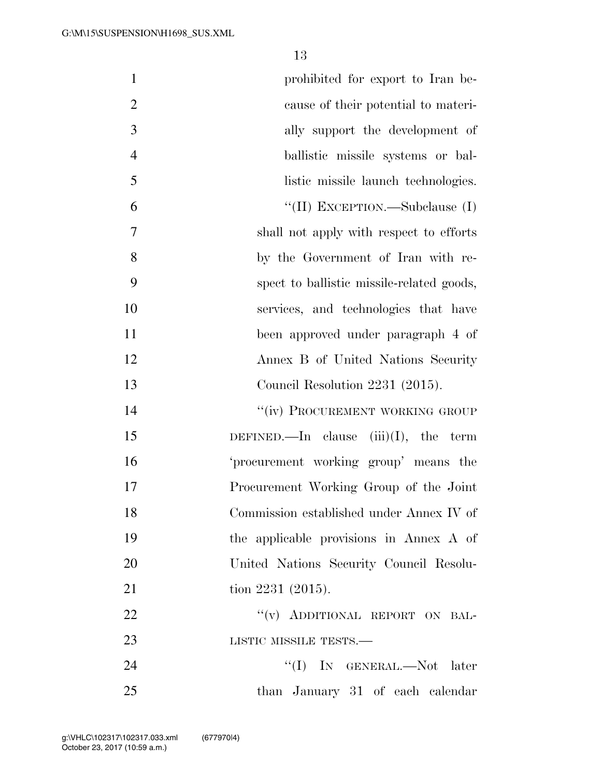| $\mathbf{1}$   | prohibited for export to Iran be-         |
|----------------|-------------------------------------------|
| $\overline{2}$ | cause of their potential to materi-       |
| 3              | ally support the development of           |
| $\overline{4}$ | ballistic missile systems or bal-         |
| 5              | listic missile launch technologies.       |
| 6              | "(II) EXCEPTION.—Subclause (I)            |
| 7              | shall not apply with respect to efforts   |
| 8              | by the Government of Iran with re-        |
| 9              | spect to ballistic missile-related goods, |
| 10             | services, and technologies that have      |
| 11             | been approved under paragraph 4 of        |
| 12             | Annex B of United Nations Security        |
| 13             | Council Resolution 2231 (2015).           |
| 14             | "(iv) PROCUREMENT WORKING GROUP           |
| 15             | DEFINED.—In clause $(iii)(I)$ , the term  |
| 16             | 'procurement working group' means the     |
| 17             | Procurement Working Group of the Joint    |
| 18             | Commission established under Annex IV of  |
| 19             | the applicable provisions in Annex A of   |
| 20             | United Nations Security Council Resolu-   |
| 21             | tion 2231 (2015).                         |
| 22             | "(v) ADDITIONAL REPORT ON BAL-            |
| 23             | LISTIC MISSILE TESTS.—                    |
| 24             | "(I) IN GENERAL.—Not later                |
| 25             | than January 31 of each calendar          |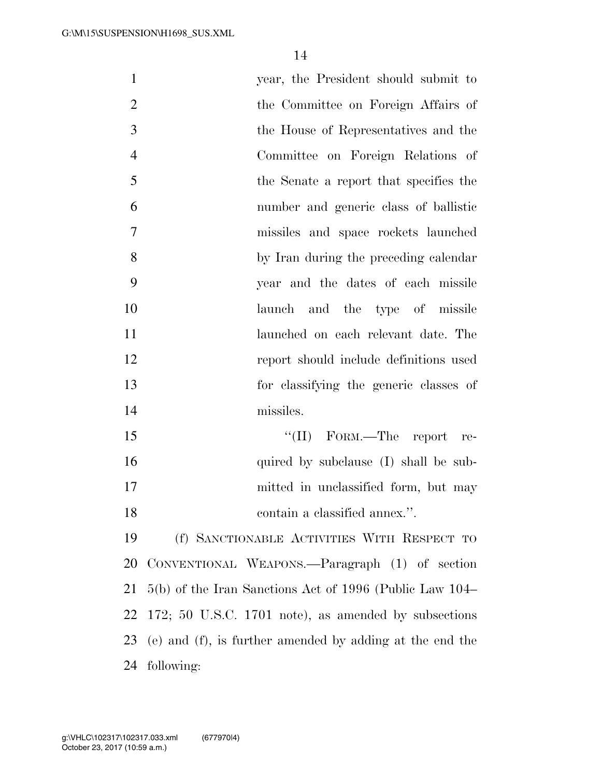| $\mathbf{1}$   | year, the President should submit to                     |
|----------------|----------------------------------------------------------|
| $\overline{2}$ | the Committee on Foreign Affairs of                      |
| 3              | the House of Representatives and the                     |
| $\overline{4}$ | Committee on Foreign Relations of                        |
| 5              | the Senate a report that specifies the                   |
| 6              | number and generic class of ballistic                    |
| 7              | missiles and space rockets launched                      |
| 8              | by Iran during the preceding calendar                    |
| 9              | year and the dates of each missile                       |
| 10             | launch and the type of missile                           |
| 11             | launched on each relevant date. The                      |
| 12             | report should include definitions used                   |
| 13             | for classifying the generic classes of                   |
| 14             | missiles.                                                |
| 15             | "(II) FORM.—The report re-                               |
| 16             | quired by subclause (I) shall be sub-                    |
| 17             | mitted in unclassified form, but may                     |
| 18             | contain a classified annex.".                            |
| 19             | (f) SANCTIONABLE ACTIVITIES WITH RESPECT TO              |
| 20             | CONVENTIONAL WEAPONS.—Paragraph (1) of section           |
| 21             | 5(b) of the Iran Sanctions Act of 1996 (Public Law 104–  |
| 22             | 172; 50 U.S.C. 1701 note), as amended by subsections     |
| 23             | (e) and (f), is further amended by adding at the end the |
| 24             | following:                                               |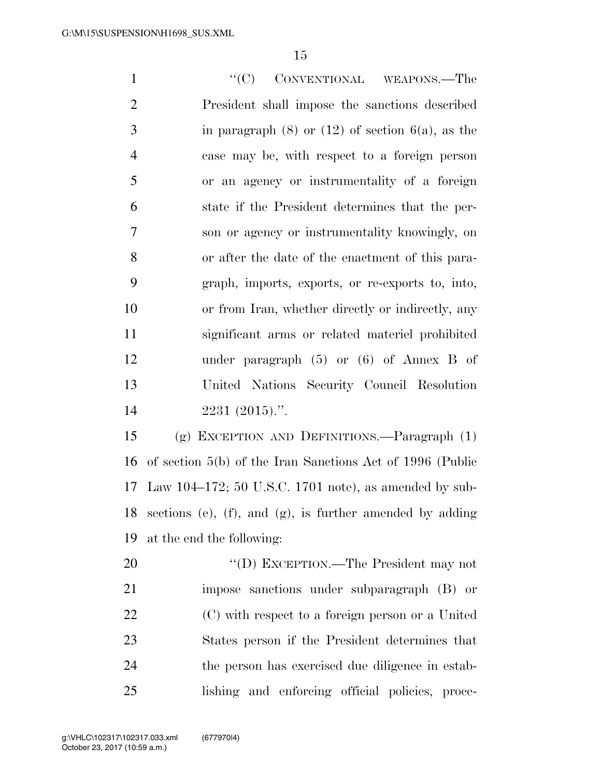1 ''(C) CONVENTIONAL WEAPONS.—The President shall impose the sanctions described 3 in paragraph  $(8)$  or  $(12)$  of section  $6(a)$ , as the case may be, with respect to a foreign person or an agency or instrumentality of a foreign state if the President determines that the per- son or agency or instrumentality knowingly, on or after the date of the enactment of this para- graph, imports, exports, or re-exports to, into, or from Iran, whether directly or indirectly, any significant arms or related materiel prohibited under paragraph (5) or (6) of Annex B of United Nations Security Council Resolution 2231 (2015).''.

 (g) EXCEPTION AND DEFINITIONS.—Paragraph (1) of section 5(b) of the Iran Sanctions Act of 1996 (Public Law 104–172; 50 U.S.C. 1701 note), as amended by sub- sections (e), (f), and (g), is further amended by adding at the end the following:

20 "'(D) EXCEPTION.—The President may not impose sanctions under subparagraph (B) or (C) with respect to a foreign person or a United States person if the President determines that the person has exercised due diligence in estab-lishing and enforcing official policies, proce-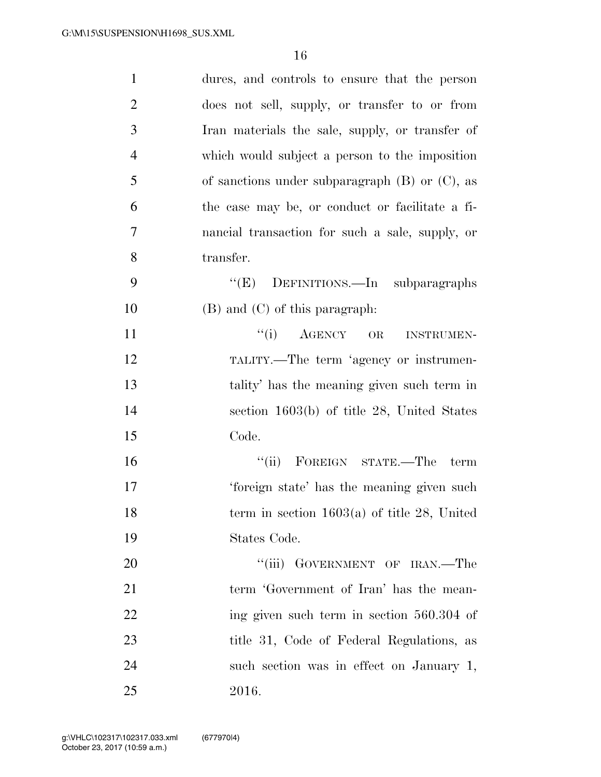| $\mathbf{1}$   | dures, and controls to ensure that the person       |
|----------------|-----------------------------------------------------|
| $\overline{2}$ | does not sell, supply, or transfer to or from       |
| 3              | Iran materials the sale, supply, or transfer of     |
| $\overline{4}$ | which would subject a person to the imposition      |
| 5              | of sanctions under subparagraph $(B)$ or $(C)$ , as |
| 6              | the case may be, or conduct or facilitate a fi-     |
| 7              | nancial transaction for such a sale, supply, or     |
| 8              | transfer.                                           |
| 9              | "(E) DEFINITIONS.—In subparagraphs                  |
| 10             | $(B)$ and $(C)$ of this paragraph:                  |
| 11             | $``(i)$ AGENCY OR<br><b>INSTRUMEN-</b>              |
| 12             | TALITY.—The term 'agency or instrumen-              |
| 13             | tality' has the meaning given such term in          |
| 14             | section 1603(b) of title 28, United States          |
| 15             | Code.                                               |
| 16             | "(ii) FOREIGN STATE.—The<br>term                    |
| 17             | 'foreign state' has the meaning given such          |
| 18             | term in section $1603(a)$ of title 28, United       |
| 19             | States Code.                                        |
| 20             | "(iii) GOVERNMENT OF IRAN.—The                      |
| 21             | term 'Government of Iran' has the mean-             |
| 22             | ing given such term in section 560.304 of           |
| 23             | title 31, Code of Federal Regulations, as           |
| 24             | such section was in effect on January 1,            |
| 25             | 2016.                                               |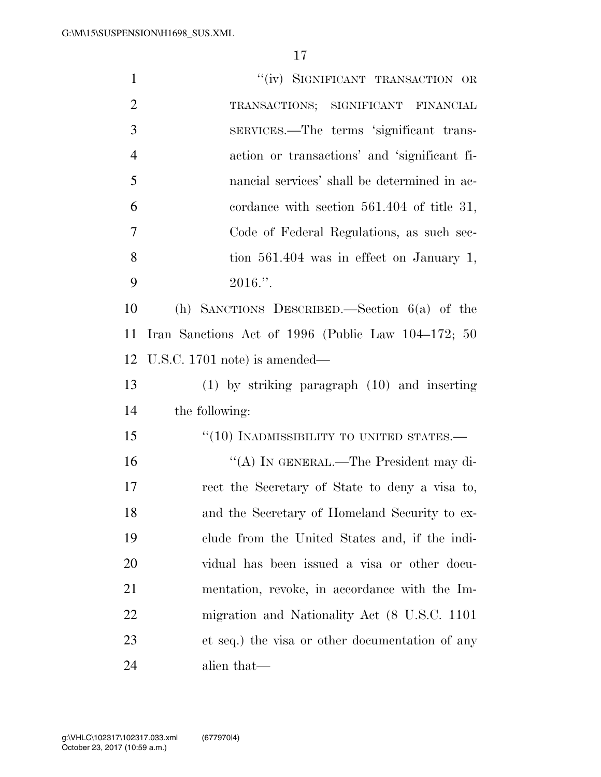| $\mathbf{1}$   | "(iv) SIGNIFICANT TRANSACTION OR                   |
|----------------|----------------------------------------------------|
| $\overline{2}$ | TRANSACTIONS; SIGNIFICANT FINANCIAL                |
| 3              | SERVICES.—The terms 'significant trans-            |
| $\overline{4}$ | action or transactions' and 'significant fi-       |
| 5              | nancial services' shall be determined in ac-       |
| 6              | cordance with section $561.404$ of title 31,       |
| 7              | Code of Federal Regulations, as such sec-          |
| 8              | tion $561.404$ was in effect on January 1,         |
| 9              | $2016."$ .                                         |
| 10             | (h) SANCTIONS DESCRIBED.—Section $6(a)$ of the     |
| 11             | Iran Sanctions Act of 1996 (Public Law 104-172; 50 |
| 12             | U.S.C. $1701$ note) is amended—                    |
|                |                                                    |
| 13             | $(1)$ by striking paragraph $(10)$ and inserting   |
| 14             | the following:                                     |
| 15             | $``(10)$ INADMISSIBILITY TO UNITED STATES.—        |
| 16             | "(A) IN GENERAL.—The President may di-             |
| 17             | rect the Secretary of State to deny a visa to,     |
| 18             | and the Secretary of Homeland Security to ex-      |
| 19             | clude from the United States and, if the indi-     |
| 20             | vidual has been issued a visa or other docu-       |
| 21             | mentation, revoke, in accordance with the Im-      |
| 22             | migration and Nationality Act (8 U.S.C. 1101)      |
| 23             | et seq.) the visa or other documentation of any    |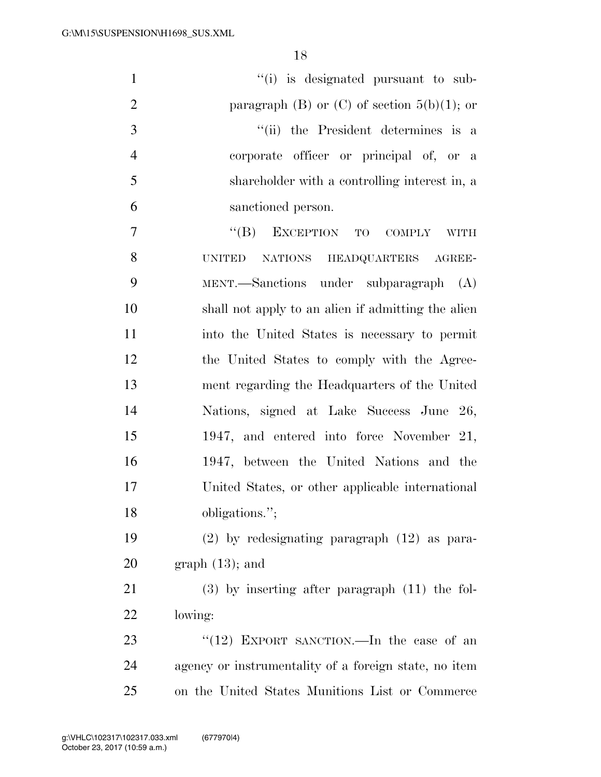| $\mathbf{1}$   | "(i) is designated pursuant to sub-                   |
|----------------|-------------------------------------------------------|
| $\overline{2}$ | paragraph (B) or (C) of section $5(b)(1)$ ; or        |
| 3              | "(ii) the President determines is a                   |
| $\overline{4}$ | corporate officer or principal of, or a               |
| 5              | shareholder with a controlling interest in, a         |
| 6              | sanctioned person.                                    |
| $\tau$         | "(B) EXCEPTION TO COMPLY WITH                         |
| 8              | NATIONS HEADQUARTERS AGREE-<br><b>UNITED</b>          |
| 9              | $MENT.$ Sanctions under subparagraph $(A)$            |
| 10             | shall not apply to an alien if admitting the alien    |
| 11             | into the United States is necessary to permit         |
| 12             | the United States to comply with the Agree-           |
| 13             | ment regarding the Headquarters of the United         |
| 14             | Nations, signed at Lake Success June 26,              |
| 15             | 1947, and entered into force November 21,             |
| 16             | 1947, between the United Nations and the              |
| 17             | United States, or other applicable international      |
| 18             | obligations.";                                        |
| 19             | $(2)$ by redesignating paragraph $(12)$ as para-      |
| 20             | $graph(13)$ ; and                                     |
| 21             | $(3)$ by inserting after paragraph $(11)$ the fol-    |
| 22             | lowing:                                               |
| 23             | "(12) EXPORT SANCTION.—In the case of an              |
| 24             | agency or instrumentality of a foreign state, no item |
| 25             | on the United States Munitions List or Commerce       |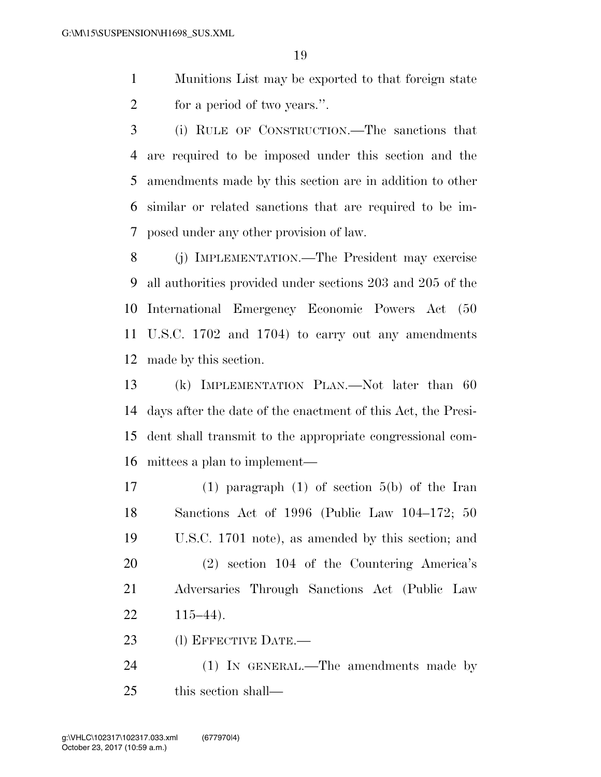- Munitions List may be exported to that foreign state 2 for a period of two years.".
- (i) RULE OF CONSTRUCTION.—The sanctions that are required to be imposed under this section and the amendments made by this section are in addition to other similar or related sanctions that are required to be im-posed under any other provision of law.
- (j) IMPLEMENTATION.—The President may exercise all authorities provided under sections 203 and 205 of the International Emergency Economic Powers Act (50 U.S.C. 1702 and 1704) to carry out any amendments made by this section.
- (k) IMPLEMENTATION PLAN.—Not later than 60 days after the date of the enactment of this Act, the Presi- dent shall transmit to the appropriate congressional com-mittees a plan to implement—
- (1) paragraph (1) of section 5(b) of the Iran Sanctions Act of 1996 (Public Law 104–172; 50 U.S.C. 1701 note), as amended by this section; and (2) section 104 of the Countering America's Adversaries Through Sanctions Act (Public Law 115–44).
- 23 (1) EFFECTIVE DATE.—
- 24 (1) IN GENERAL.—The amendments made by this section shall—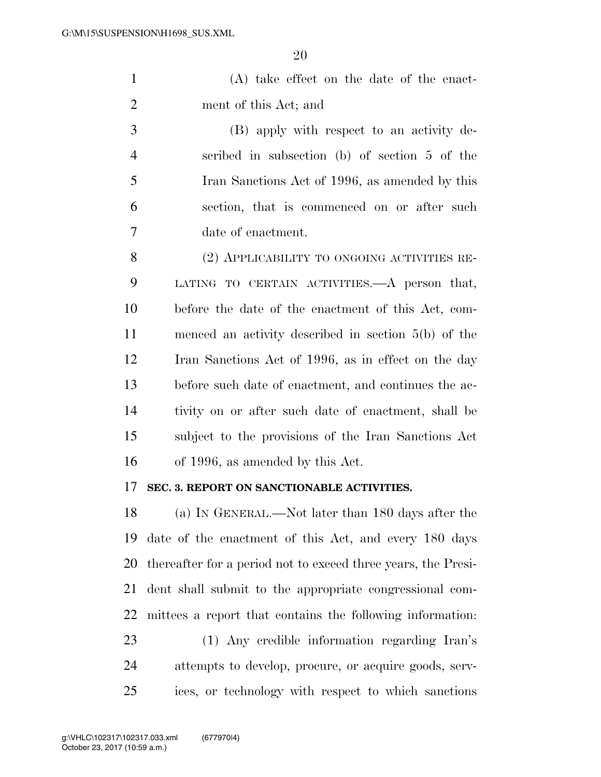(A) take effect on the date of the enact-ment of this Act; and

 (B) apply with respect to an activity de- scribed in subsection (b) of section 5 of the Iran Sanctions Act of 1996, as amended by this section, that is commenced on or after such date of enactment.

8 (2) APPLICABILITY TO ONGOING ACTIVITIES RE- LATING TO CERTAIN ACTIVITIES.—A person that, before the date of the enactment of this Act, com- menced an activity described in section 5(b) of the Iran Sanctions Act of 1996, as in effect on the day before such date of enactment, and continues the ac- tivity on or after such date of enactment, shall be subject to the provisions of the Iran Sanctions Act of 1996, as amended by this Act.

#### **SEC. 3. REPORT ON SANCTIONABLE ACTIVITIES.**

 (a) IN GENERAL.—Not later than 180 days after the date of the enactment of this Act, and every 180 days thereafter for a period not to exceed three years, the Presi- dent shall submit to the appropriate congressional com- mittees a report that contains the following information: (1) Any credible information regarding Iran's attempts to develop, procure, or acquire goods, serv-

ices, or technology with respect to which sanctions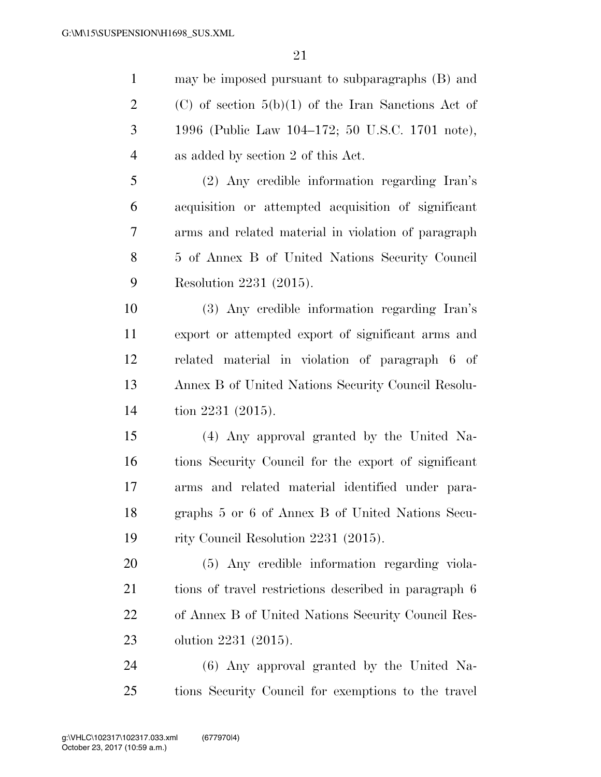may be imposed pursuant to subparagraphs (B) and 2 (C) of section  $5(b)(1)$  of the Iran Sanctions Act of 1996 (Public Law 104–172; 50 U.S.C. 1701 note), as added by section 2 of this Act. (2) Any credible information regarding Iran's acquisition or attempted acquisition of significant arms and related material in violation of paragraph 5 of Annex B of United Nations Security Council Resolution 2231 (2015). (3) Any credible information regarding Iran's export or attempted export of significant arms and related material in violation of paragraph 6 of Annex B of United Nations Security Council Resolu- tion 2231 (2015). (4) Any approval granted by the United Na- tions Security Council for the export of significant arms and related material identified under para- graphs 5 or 6 of Annex B of United Nations Secu- rity Council Resolution 2231 (2015). (5) Any credible information regarding viola-tions of travel restrictions described in paragraph 6

 of Annex B of United Nations Security Council Res-olution 2231 (2015).

 (6) Any approval granted by the United Na-tions Security Council for exemptions to the travel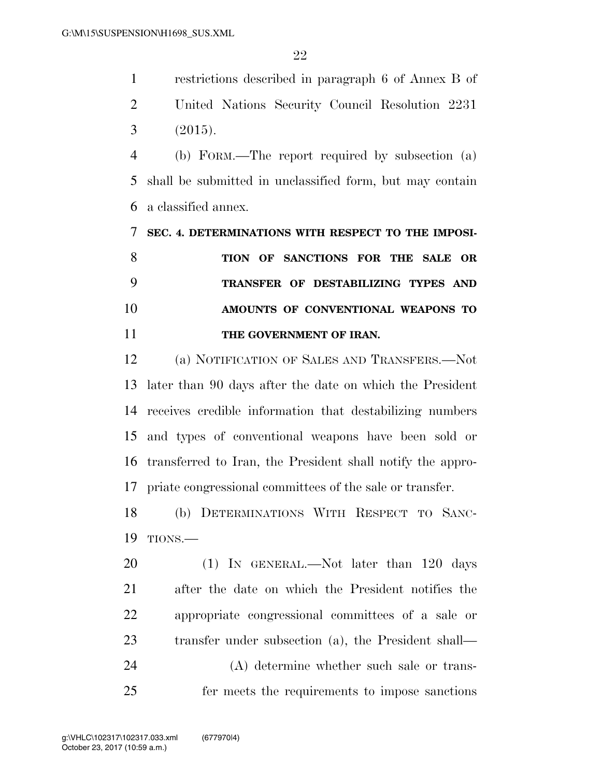restrictions described in paragraph 6 of Annex B of United Nations Security Council Resolution 2231 (2015).

 (b) FORM.—The report required by subsection (a) shall be submitted in unclassified form, but may contain a classified annex.

 **SEC. 4. DETERMINATIONS WITH RESPECT TO THE IMPOSI- TION OF SANCTIONS FOR THE SALE OR TRANSFER OF DESTABILIZING TYPES AND AMOUNTS OF CONVENTIONAL WEAPONS TO THE GOVERNMENT OF IRAN.** 

 (a) NOTIFICATION OF SALES AND TRANSFERS.—Not later than 90 days after the date on which the President receives credible information that destabilizing numbers and types of conventional weapons have been sold or transferred to Iran, the President shall notify the appro-priate congressional committees of the sale or transfer.

 (b) DETERMINATIONS WITH RESPECT TO SANC-TIONS.—

20 (1) IN GENERAL.—Not later than 120 days after the date on which the President notifies the appropriate congressional committees of a sale or transfer under subsection (a), the President shall— (A) determine whether such sale or trans-

fer meets the requirements to impose sanctions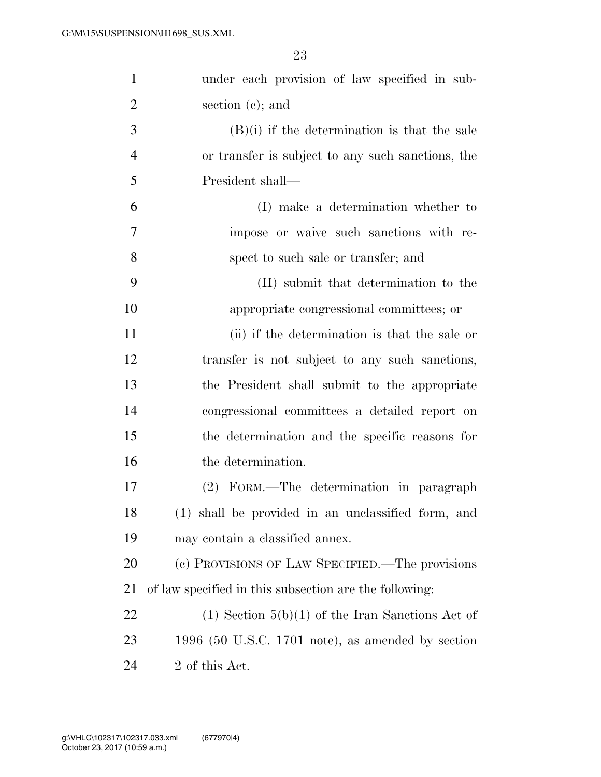| $\mathbf{1}$   | under each provision of law specified in sub-          |
|----------------|--------------------------------------------------------|
| $\overline{2}$ | section $(c)$ ; and                                    |
| 3              | $(B)(i)$ if the determination is that the sale         |
| $\overline{4}$ | or transfer is subject to any such sanctions, the      |
| 5              | President shall—                                       |
| 6              | (I) make a determination whether to                    |
| 7              | impose or waive such sanctions with re-                |
| 8              | spect to such sale or transfer; and                    |
| 9              | (II) submit that determination to the                  |
| 10             | appropriate congressional committees; or               |
| 11             | (ii) if the determination is that the sale or          |
| 12             | transfer is not subject to any such sanctions,         |
| 13             | the President shall submit to the appropriate          |
| 14             | congressional committees a detailed report on          |
| 15             | the determination and the specific reasons for         |
| 16             | the determination.                                     |
| 17             | (2) FORM.—The determination in paragraph               |
| 18             | (1) shall be provided in an unclassified form, and     |
| 19             | may contain a classified annex.                        |
| 20             | (c) PROVISIONS OF LAW SPECIFIED.—The provisions        |
| 21             | of law specified in this subsection are the following: |
| 22             | $(1)$ Section $5(b)(1)$ of the Iran Sanctions Act of   |
| 23             | 1996 (50 U.S.C. 1701 note), as amended by section      |
| 24             | 2 of this Act.                                         |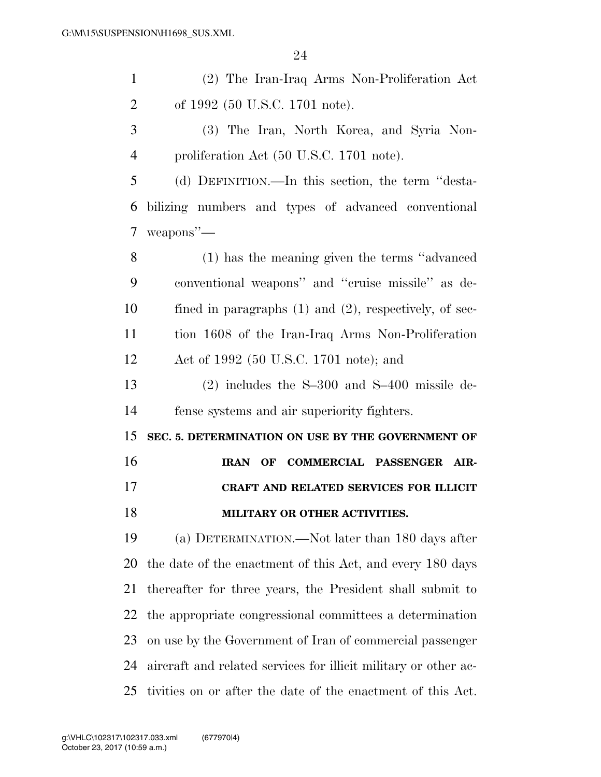| $\mathbf{1}$   | (2) The Iran-Iraq Arms Non-Proliferation Act                    |
|----------------|-----------------------------------------------------------------|
| $\overline{2}$ | of 1992 (50 U.S.C. 1701 note).                                  |
| 3              | (3) The Iran, North Korea, and Syria Non-                       |
| $\overline{4}$ | proliferation Act (50 U.S.C. 1701 note).                        |
| 5              | (d) DEFINITION.—In this section, the term "desta-               |
| 6              | bilizing numbers and types of advanced conventional             |
| 7              | weapons"-                                                       |
| 8              | (1) has the meaning given the terms "advanced"                  |
| 9              | conventional weapons" and "cruise missile" as de-               |
| 10             | fined in paragraphs $(1)$ and $(2)$ , respectively, of sec-     |
| 11             | tion 1608 of the Iran-Iraq Arms Non-Proliferation               |
| 12             | Act of 1992 (50 U.S.C. 1701 note); and                          |
| 13             | $(2)$ includes the S-300 and S-400 missile de-                  |
| 14             | fense systems and air superiority fighters.                     |
| 15             | SEC. 5. DETERMINATION ON USE BY THE GOVERNMENT OF               |
| 16             | IRAN OF COMMERCIAL PASSENGER AIR-                               |
| 17             | CRAFT AND RELATED SERVICES FOR ILLICIT                          |
| 18             | MILITARY OR OTHER ACTIVITIES.                                   |
| 19             | (a) DETERMINATION.—Not later than 180 days after                |
| 20             | the date of the enactment of this Act, and every 180 days       |
| 21             | thereafter for three years, the President shall submit to       |
| 22             | the appropriate congressional committees a determination        |
| 23             |                                                                 |
|                | on use by the Government of Iran of commercial passenger        |
| 24             | aircraft and related services for illicit military or other ac- |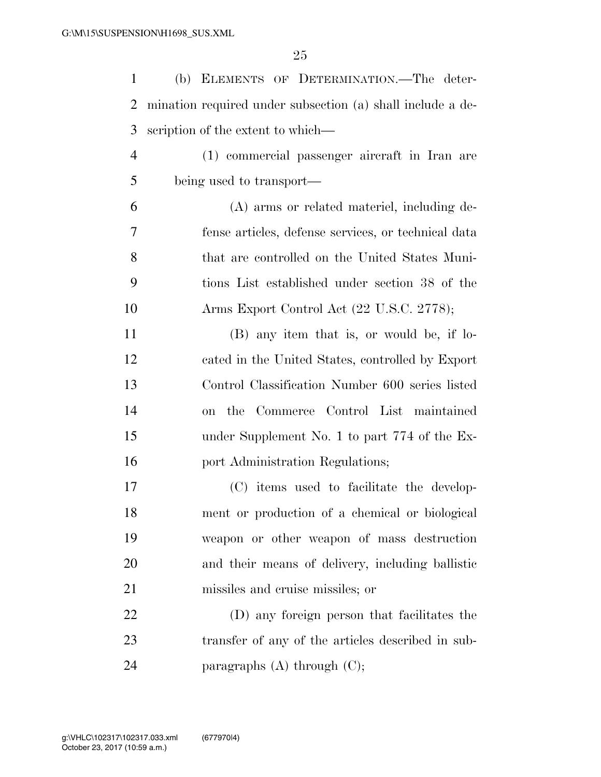| $\mathbf{1}$   | (b) ELEMENTS OF DETERMINATION.-The deter-                  |
|----------------|------------------------------------------------------------|
| $\overline{2}$ | mination required under subsection (a) shall include a de- |
| 3              | scription of the extent to which—                          |
| $\overline{4}$ | (1) commercial passenger aircraft in Iran are              |
| 5              | being used to transport—                                   |
| 6              | (A) arms or related materiel, including de-                |
| 7              | fense articles, defense services, or technical data        |
| 8              | that are controlled on the United States Muni-             |
| 9              | tions List established under section 38 of the             |
| 10             | Arms Export Control Act (22 U.S.C. 2778);                  |
| 11             | (B) any item that is, or would be, if lo-                  |
| 12             | cated in the United States, controlled by Export           |
| 13             | Control Classification Number 600 series listed            |
| 14             | on the Commerce Control List maintained                    |
| 15             | under Supplement No. 1 to part 774 of the Ex-              |
| 16             | port Administration Regulations;                           |
| 17             | (C) items used to facilitate the develop-                  |
| 18             | ment or production of a chemical or biological             |
| 19             | weapon or other weapon of mass destruction                 |
| 20             | and their means of delivery, including ballistic           |
| 21             | missiles and cruise missiles; or                           |
| 22             | (D) any foreign person that facilitates the                |
| 23             | transfer of any of the articles described in sub-          |
| 24             | paragraphs $(A)$ through $(C)$ ;                           |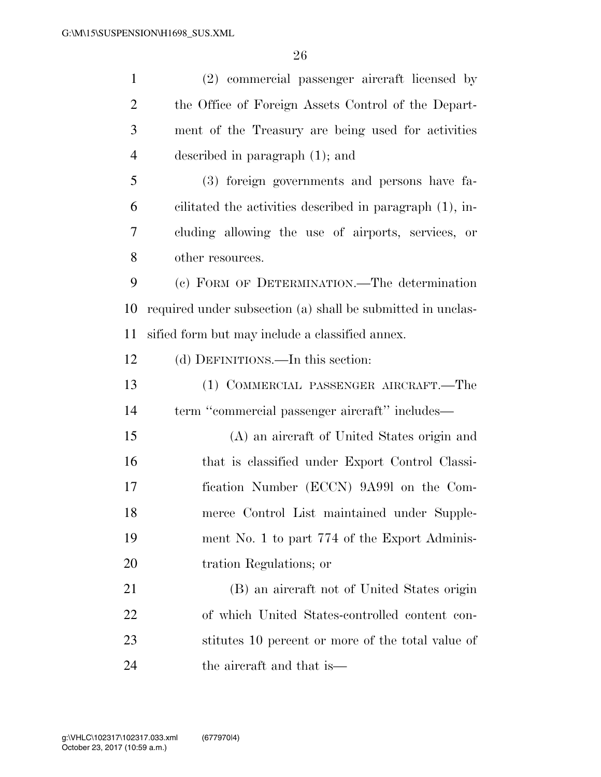| $\mathbf{1}$   | (2) commercial passenger aircraft licensed by               |
|----------------|-------------------------------------------------------------|
| $\overline{2}$ | the Office of Foreign Assets Control of the Depart-         |
| 3              | ment of the Treasury are being used for activities          |
| $\overline{4}$ | described in paragraph $(1)$ ; and                          |
| 5              | (3) foreign governments and persons have fa-                |
| 6              | cilitated the activities described in paragraph (1), in-    |
| 7              | cluding allowing the use of airports, services, or          |
| 8              | other resources.                                            |
| 9              | (c) FORM OF DETERMINATION.—The determination                |
| 10             | required under subsection (a) shall be submitted in unclas- |
| 11             | sified form but may include a classified annex.             |
| 12             | (d) DEFINITIONS.—In this section:                           |
| 13             | (1) COMMERCIAL PASSENGER AIRCRAFT.—The                      |
| 14             | term "commercial passenger aircraft" includes—              |
| 15             | (A) an aircraft of United States origin and                 |
| 16             | that is classified under Export Control Classi-             |
| 17             | fication Number (ECCN) 9A991 on the Com-                    |
| 18             | merce Control List maintained under Supple-                 |
| 19             | ment No. 1 to part 774 of the Export Adminis-               |
| 20             | tration Regulations; or                                     |
| 21             | (B) an aircraft not of United States origin                 |
| 22             | of which United States-controlled content con-              |
| 23             | stitutes 10 percent or more of the total value of           |
| 24             | the aircraft and that is—                                   |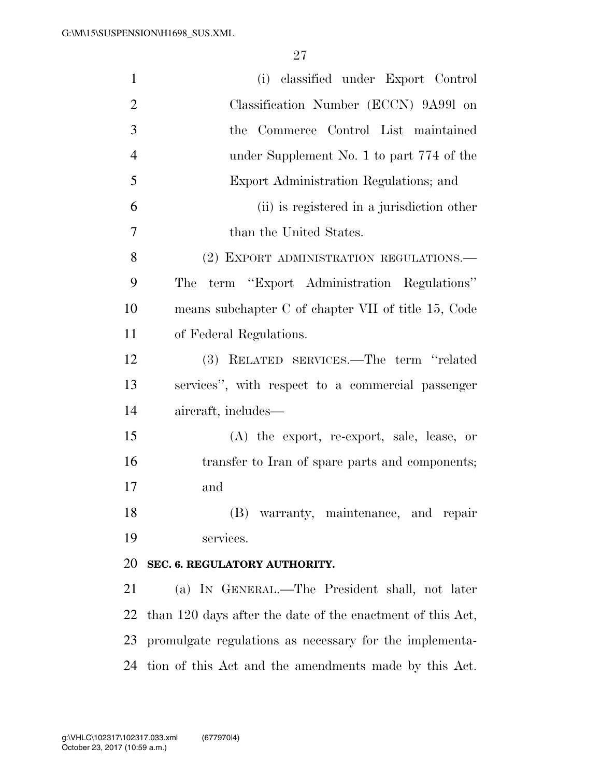| $\mathbf{1}$   | (i) classified under Export Control                        |
|----------------|------------------------------------------------------------|
| $\overline{2}$ | Classification Number (ECCN) 9A991 on                      |
| 3              | the Commerce Control List maintained                       |
| $\overline{4}$ | under Supplement No. 1 to part 774 of the                  |
| 5              | Export Administration Regulations; and                     |
| 6              | (ii) is registered in a jurisdiction other                 |
| 7              | than the United States.                                    |
| 8              | (2) EXPORT ADMINISTRATION REGULATIONS.                     |
| 9              | term "Export Administration Regulations"<br>The            |
| 10             | means subchapter C of chapter VII of title 15, Code        |
| 11             | of Federal Regulations.                                    |
| 12             | (3) RELATED SERVICES.—The term "related                    |
| 13             | services", with respect to a commercial passenger          |
| 14             | aircraft, includes—                                        |
| 15             | (A) the export, re-export, sale, lease, or                 |
| 16             | transfer to Iran of spare parts and components;            |
| 17             | and                                                        |
| 18             | (B) warranty, maintenance, and repair                      |
| 19             | services.                                                  |
| 20             | SEC. 6. REGULATORY AUTHORITY.                              |
| 21             | (a) IN GENERAL.—The President shall, not later             |
| 22             | than 120 days after the date of the enactment of this Act, |
| 23             | promulgate regulations as necessary for the implementa-    |
| 24             | tion of this Act and the amendments made by this Act.      |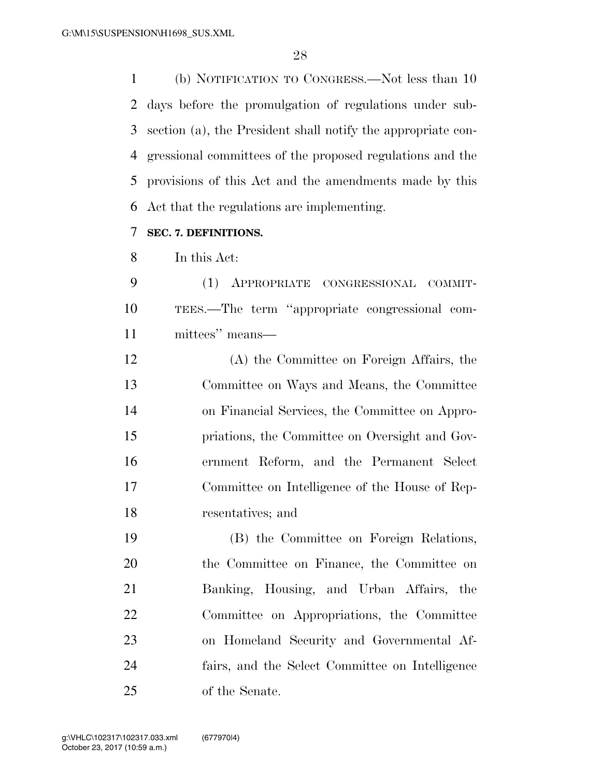(b) NOTIFICATION TO CONGRESS.—Not less than 10 days before the promulgation of regulations under sub- section (a), the President shall notify the appropriate con- gressional committees of the proposed regulations and the provisions of this Act and the amendments made by this Act that the regulations are implementing.

### **SEC. 7. DEFINITIONS.**

In this Act:

 (1) APPROPRIATE CONGRESSIONAL COMMIT- TEES.—The term ''appropriate congressional com-mittees'' means—

 (A) the Committee on Foreign Affairs, the Committee on Ways and Means, the Committee on Financial Services, the Committee on Appro- priations, the Committee on Oversight and Gov- ernment Reform, and the Permanent Select Committee on Intelligence of the House of Rep-resentatives; and

 (B) the Committee on Foreign Relations, the Committee on Finance, the Committee on Banking, Housing, and Urban Affairs, the Committee on Appropriations, the Committee on Homeland Security and Governmental Af- fairs, and the Select Committee on Intelligence of the Senate.